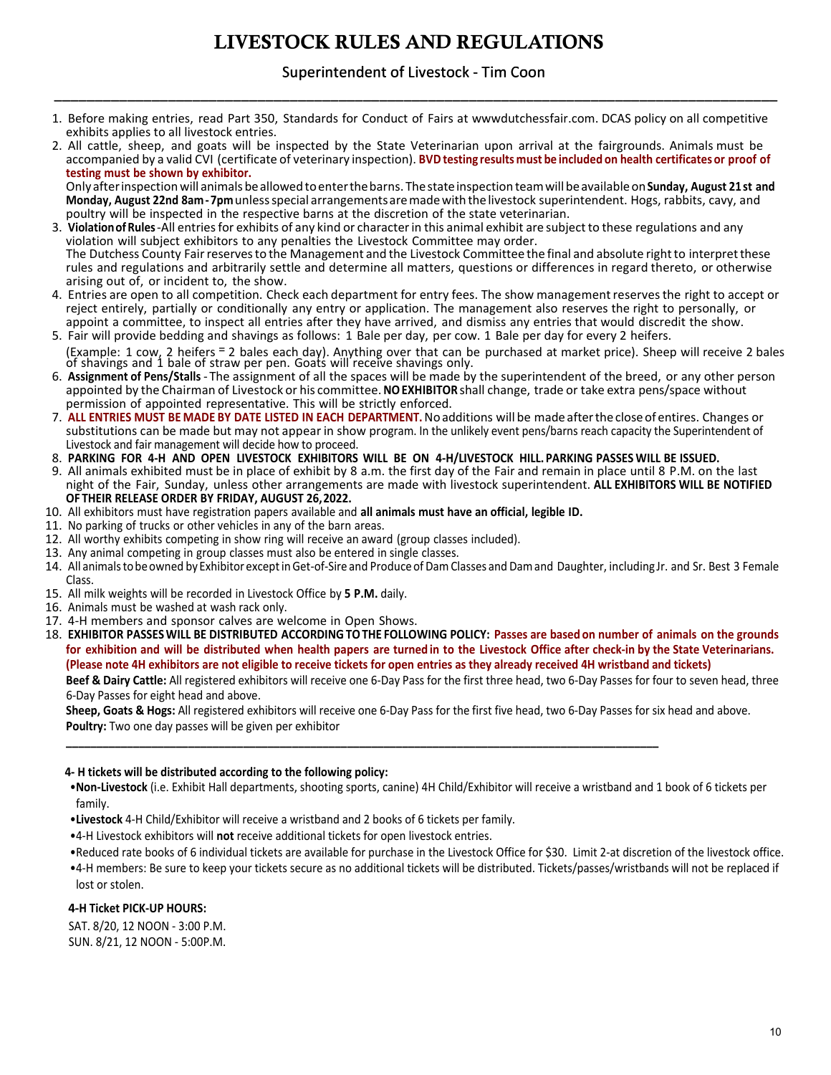# **LIVESTOCK RULES AND REGULATIONS**

## Superintendent of Livestock - Tim Coon \_\_\_\_\_\_\_\_\_\_\_\_\_\_\_\_\_\_\_\_\_\_\_\_\_\_\_\_\_\_\_\_\_\_\_\_\_\_\_\_\_\_\_\_\_\_\_\_\_\_\_\_\_\_\_\_\_\_\_\_\_\_\_\_\_\_\_\_\_\_\_\_\_\_\_\_\_\_\_\_\_\_\_\_\_\_\_\_\_

- 1. Before making entries, read Part 350, Standards for Conduct of Fairs at wwwdutchessfair.com. DCAS policy on all competitive exhibits applies to all livestock entries.
- 2. All cattle, sheep, and goats will be inspected by the State Veterinarian upon arrival at the fairgrounds. Animals must be accompanied by a valid CVI (certificate of veterinary inspection). **BVD testing results must be included on health certificates or proof of testing must be shown by exhibitor.**

Onlyafterinspection will animals beallowedtoenterthebarns. Thestateinspection teamwill beavailableon**Sunday, August 21st and Monday, August 22nd 8am - 7pm** unlessspecial arrangementsaremadewith thelivestock superintendent. Hogs, rabbits, cavy, and poultry will be inspected in the respective barns at the discretion of the state veterinarian.

- 3. **Violationof Rules**-All entriesfor exhibits of any kind or characterin this animal exhibit are subject to these regulations and any violation will subject exhibitors to any penalties the Livestock Committee may order. The Dutchess County Fair reserves to the Management and the Livestock Committee the final and absolute right to interpret these rules and regulations and arbitrarily settle and determine all matters, questions or differences in regard thereto, or otherwise arising out of, or incident to, the show.
- 4. Entries are open to all competition. Check each department for entry fees. The show managementreservesthe right to accept or reject entirely, partially or conditionally any entry or application. The management also reserves the right to personally, or appoint a committee, to inspect all entries after they have arrived, and dismiss any entries that would discredit the show. 5. Fair will provide bedding and shavings as follows: 1 Bale per day, per cow. 1 Bale per day for every 2 heifers.
- (Example: 1 cow, 2 heifers = 2 bales each day). Anything over that can be purchased at market price). Sheep will receive 2 bales of shavings and 1 bale of straw per pen. Goats will receive shavings only.
- 6. **Assignment of Pens/Stalls** The assignment of all the spaces will be made by the superintendent of the breed, or any other person appointed by the Chairman of Livestock or his committee.**NOEXHIBITOR** shall change, trade or take extra pens/space without permission of appointed representative. This will be strictly enforced.
- 7. **ALL ENTRIES MUST BE MADE BY DATE LISTED IN EACH DEPARTMENT.**Noadditions will be made after the closeof entires. Changes or substitutions can be made but may not appear in show program. In the unlikely event pens/barns reach capacity the Superintendent of Livestock and fair management will decide how to proceed.
- 8. **PARKING FOR 4-H AND OPEN LIVESTOCK EXHIBITORS WILL BE ON 4-H/LIVESTOCK HILL. PARKING PASSES WILL BE ISSUED.**
- 9. All animals exhibited must be in place of exhibit by 8 a.m. the first day of the Fair and remain in place until 8 P .M. on the last night of the Fair, Sunday, unless other arrangements are made with livestock superintendent. **ALL EXHIBITORS WILL BE NOTIFIED OF THEIR RELEASE ORDER BY FRIDAY, AUGUST 26,2022.**
- 10. All exhibitors must have registration papers available and **all animals must have an official, legible ID.**
- 11. No parking of trucks or other vehicles in any of the barn areas.
- 12. All worthy exhibits competing in show ring will receive an award (group classes included).
- 13. Any animal competing in group classes must also be entered in single classes.
- 14. All animalstobeowned by Exhibitor exceptinGet-of-Sire and Produceof DamClasses and Damand Daughter, including Jr. and Sr. Best 3 Female Class.
- 15. All milk weights will be recorded in Livestock Office by **5 P.M.** daily.
- 16. Animals must be washed at wash rack only.
- 17. 4-H members and sponsor calves are welcome in Open Shows.
- 18. EXHIBITOR PASSES WILL BE DISTRIBUTED ACCORDING TO THE FOLLOWING POLICY: Passes are based on number of animals on the grounds for exhibition and will be distributed when health papers are turned in to the Livestock Office after check-in by the State Veterinarians. **(Please note 4H exhibitors are not eligible to receive tickets for open entries as they already received 4H wristband and tickets)**

**Beef & Dairy Cattle:** All registered exhibitors will receive one 6-Day Pass for the first three head, two 6-Day Passes for four to seven head, three 6-Day Passes for eight head and above.

**Sheep, Goats & Hogs:** All registered exhibitors will receive one 6-Day Pass for the first five head, two 6-Day Passes for six head and above. **Poultry:** Two one day passes will be given per exhibitor

**\_\_\_\_\_\_\_\_\_\_\_\_\_\_\_\_\_\_\_\_\_\_\_\_\_\_\_\_\_\_\_\_\_\_\_\_\_\_\_\_\_\_\_\_\_\_\_\_\_\_\_\_\_\_\_\_\_\_\_\_\_\_\_\_\_\_\_\_\_\_\_\_\_\_\_\_\_\_\_\_\_\_\_\_\_\_\_\_\_\_\_\_\_\_\_\_\_**

### **4- H tickets will be distributed according to the following policy:**

- •**Non-Livestock** (i.e. Exhibit Hall departments, shooting sports, canine) 4H Child/Exhibitor will receive a wristband and 1 book of 6 tickets per family.
- •**Livestock** 4-H Child/Exhibitor will receive a wristband and 2 books of 6 tickets per family.
- •4-H Livestock exhibitors will **not** receive additional tickets for open livestock entries.
- •Reduced rate books of 6 individual tickets are available for purchase in the Livestock Office for \$30. Limit 2-at discretion of the livestock office.
- •4-H members: Be sure to keep your tickets secure as no additional tickets will be distributed. Tickets/passes/wristbands will not be replaced if lost or stolen.

### **4-H Ticket PICK-UP HOURS:**

SAT. 8/20, 12 NOON - 3:00 P.M. SUN. 8/21, 12 NOON - 5:00P.M.